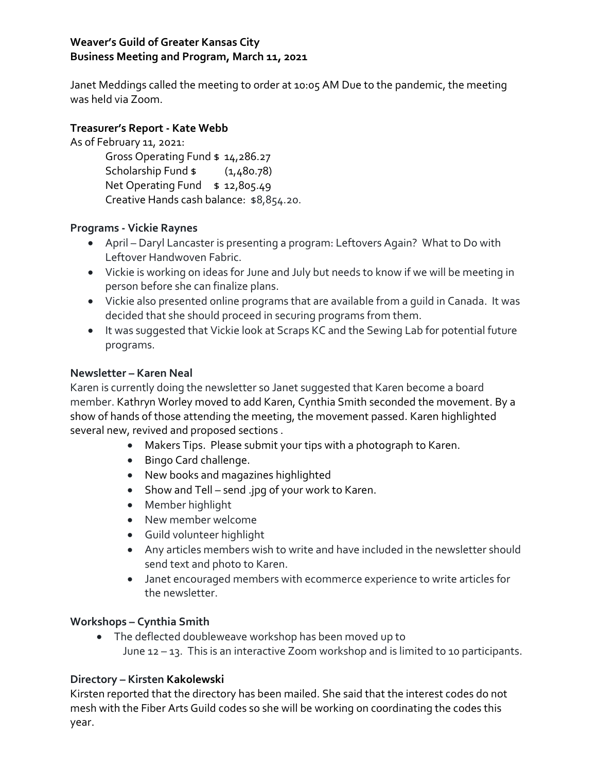# **Weaver's Guild of Greater Kansas City Business Meeting and Program, March 11, 2021**

Janet Meddings called the meeting to order at 10:05 AM Due to the pandemic, the meeting was held via Zoom.

## **Treasurer's Report - Kate Webb**

As of February 11, 2021:

Gross Operating Fund \$ 14,286.27 Scholarship Fund \$ (1,480.78) Net Operating Fund \$ 12,805.49 Creative Hands cash balance: \$8,854.20.

## **Programs - Vickie Raynes**

- April Daryl Lancaster is presenting a program: Leftovers Again? What to Do with Leftover Handwoven Fabric.
- Vickie is working on ideas for June and July but needs to know if we will be meeting in person before she can finalize plans.
- Vickie also presented online programs that are available from a guild in Canada. It was decided that she should proceed in securing programs from them.
- It was suggested that Vickie look at Scraps KC and the Sewing Lab for potential future programs.

## **Newsletter – Karen Neal**

Karen is currently doing the newsletter so Janet suggested that Karen become a board member. Kathryn Worley moved to add Karen, Cynthia Smith seconded the movement. By a show of hands of those attending the meeting, the movement passed. Karen highlighted several new, revived and proposed sections .

- Makers Tips. Please submit your tips with a photograph to Karen.
- Bingo Card challenge.
- New books and magazines highlighted
- Show and Tell send .jpg of your work to Karen.
- Member highlight
- New member welcome
- Guild volunteer highlight
- Any articles members wish to write and have included in the newsletter should send text and photo to Karen.
- Janet encouraged members with ecommerce experience to write articles for the newsletter.

## **Workshops – Cynthia Smith**

 The deflected doubleweave workshop has been moved up to June 12 – 13. This is an interactive Zoom workshop and is limited to 10 participants.

## **Directory – Kirsten Kakolewski**

Kirsten reported that the directory has been mailed. She said that the interest codes do not mesh with the Fiber Arts Guild codes so she will be working on coordinating the codes this year.